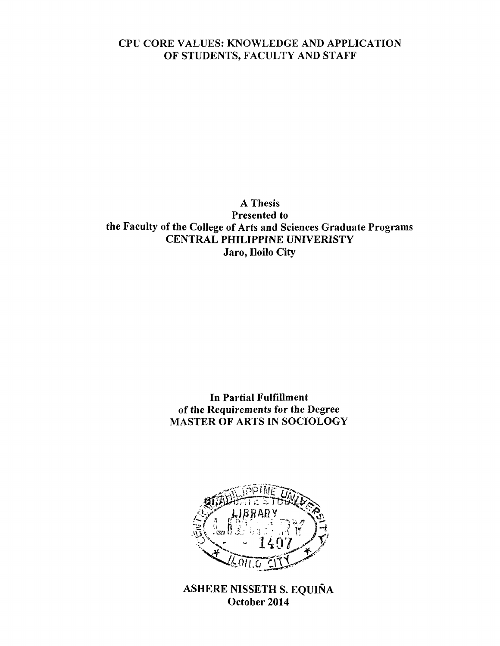# **CPU CORE VALUES: KNOWLEDGE AND APPLICATION OF STUDENTS, FACULTY AND STAFF**

**A Thesis Presented to the Faculty of the College of Arts and Sciences Graduate Programs CENTRAL PHILIPPINE UNIVERISTY Jaro, Iloilo City**

> **In Partial Fulfillment of the Requirements for the Degree MASTER OF ARTS IN SOCIOLOGY**



**ASHERE NISSETH S. EQUINA October 2014**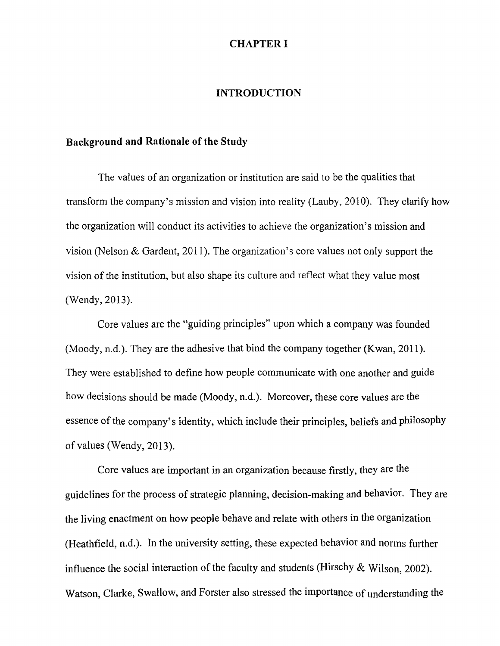#### **CHAPTER I**

#### **INTRODUCTION**

# **Background and Rationale of the Study**

The values of an organization or institution are said to be the qualities that transform the company's mission and vision into reality (Lauby, 2010). They clarify how the organization will conduct its activities to achieve the organization's mission and vision (Nelson & Gardent, 2011). The organization's core values not only support the vision of the institution, but also shape its culture and reflect what they value most (Wendy, 2013).

Core values are the "guiding principles" upon which a company was founded (Moody, n.d.). They are the adhesive that bind the company together (Kwan, 2011). They were established to define how people communicate with one another and guide how decisions should be made (Moody, n.d.). Moreover, these core values are the essence of the company's identity, which include their principles, beliefs and philosophy of values (Wendy, 2013).

Core values are important in an organization because firstly, they are the guidelines for the process of strategic planning, decision-making and behavior. They are the living enactment on how people behave and relate with others in the organization (Heathfield, n.d.). In the university setting, these expected behavior and norms further influence the social interaction of the faculty and students (Hirschy & Wilson, 2002). Watson, Clarke, Swallow, and Forster also stressed the importance of understanding the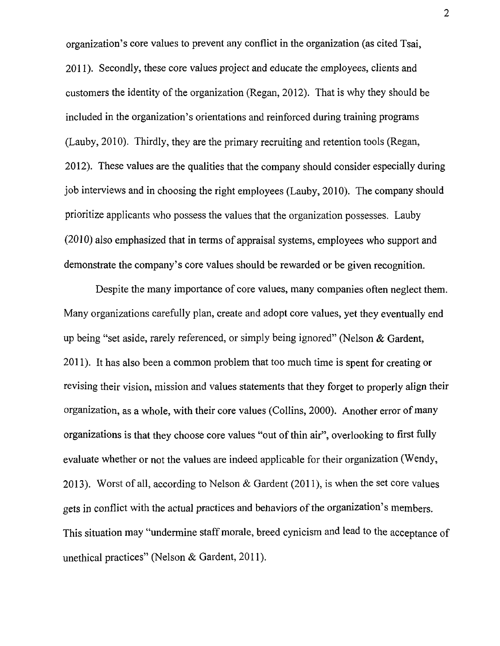organization's core values to prevent any conflict in the organization (as cited Tsai, 2011) . Secondly, these core values project and educate the employees, clients and customers the identity of the organization (Regan, 2012). That is why they should be included in the organization's orientations and reinforced during training programs (Lauby, 2010). Thirdly, they are the primary recruiting and retention tools (Regan, 2012) . These values are the qualities that the company should consider especially during job interviews and in choosing the right employees (Lauby, 2010). The company should prioritize applicants who possess the values that the organization possesses. Lauby (2010) also emphasized that in terms of appraisal systems, employees who support and demonstrate the company's core values should be rewarded or be given recognition.

Despite the many importance of core values, many companies often neglect them. Many organizations carefully plan, create and adopt core values, yet they eventually end up being "set aside, rarely referenced, or simply being ignored" (Nelson & Gardent, 2011). It has also been a common problem that too much time is spent for creating or revising their vision, mission and values statements that they forget to properly align their organization, as a whole, with their core values (Collins, 2000). Another error of many organizations is that they choose core values "out of thin air", overlooking to first fully evaluate whether or not the values are indeed applicable for their organization (Wendy, 2013). Worst of all, according to Nelson & Gardent (2011), is when the set core values gets in conflict with the actual practices and behaviors of the organization's members. This situation may "undermine staff morale, breed cynicism and lead to the acceptance of unethical practices" (Nelson & Gardent, 2011).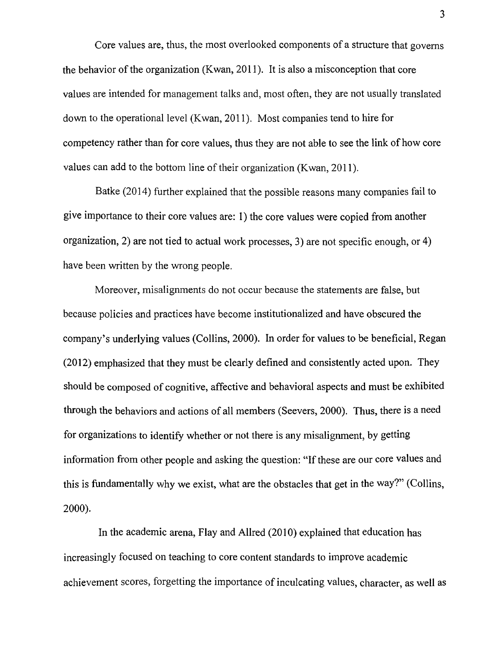Core values are, thus, the most overlooked components of a structure that governs the behavior of the organization (Kwan, 2011). It is also a misconception that core values are intended for management talks and, most often, they are not usually translated down to the operational level (Kwan, 2011). Most companies tend to hire for competency rather than for core values, thus they are not able to see the link of how core values can add to the bottom line of their organization (Kwan, 2011).

Batke (2014) further explained that the possible reasons many companies fail to give importance to their core values are: 1) the core values were copied from another organization, 2) are not tied to actual work processes, 3) are not specific enough, or 4) have been written by the wrong people.

Moreover, misalignments do not occur because the statements are false, but because policies and practices have become institutionalized and have obscured the company's underlying values (Collins, 2000). In order for values to be beneficial, Regan (2012) emphasized that they must be clearly defined and consistently acted upon. They should be composed of cognitive, affective and behavioral aspects and must be exhibited through the behaviors and actions of all members (Seevers, 2000). Thus, there is a need for organizations to identify whether or not there is any misalignment, by getting information from other people and asking the question: "If these are our core values and this is fundamentally why we exist, what are the obstacles that get in the way?" (Collins, **2000**).

In the academic arena, Flay and Allred (2010) explained that education has increasingly focused on teaching to core content standards to improve academic achievement scores, forgetting the importance of inculcating values, character, as well as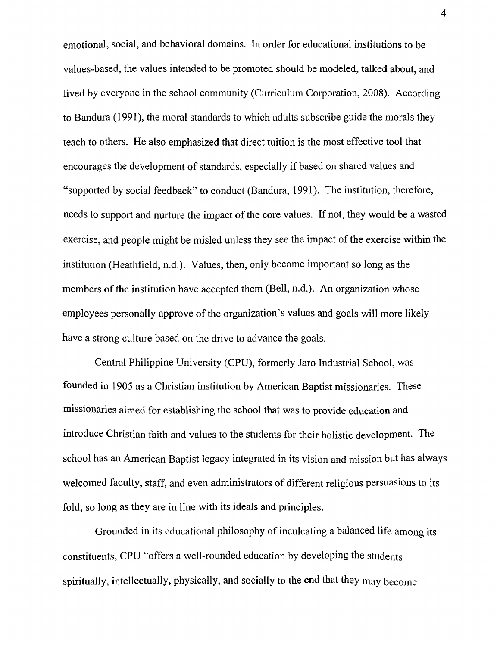emotional, social, and behavioral domains. In order for educational institutions to be values-based, the values intended to be promoted should be modeled, talked about, and lived by everyone in the school community (Curriculum Corporation, 2008). According to Bandura (1991), the moral standards to which adults subscribe guide the morals they teach to others. He also emphasized that direct tuition is the most effective tool that encourages the development of standards, especially if based on shared values and "supported by social feedback" to conduct (Bandura, 1991). The institution, therefore, needs to support and nurture the impact of the core values. If not, they would be a wasted exercise, and people might be misled unless they see the impact of the exercise within the institution (Heathfield, n.d.). Values, then, only become important so long as the members of the institution have accepted them (Bell, n.d.). An organization whose employees personally approve of the organization's values and goals will more likely have a strong culture based on the drive to advance the goals.

Central Philippine University (CPU), formerly Jaro Industrial School, was founded in 1905 as a Christian institution by American Baptist missionaries. These missionaries aimed for establishing the school that was to provide education and introduce Christian faith and values to the students for their holistic development. The school has an American Baptist legacy integrated in its vision and mission but has always welcomed faculty, staff, and even administrators of different religious persuasions to its fold, so long as they are in line with its ideals and principles.

Grounded in its educational philosophy of inculcating a balanced life among its constituents, CPU "offers a well-rounded education by developing the students spiritually, intellectually, physically, and socially to the end that they may become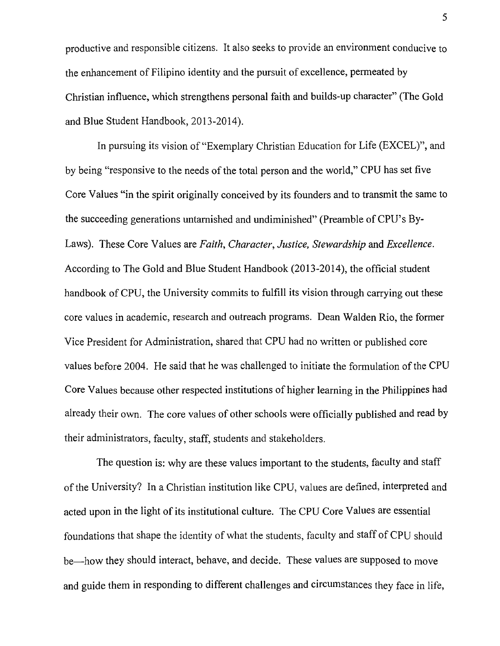productive and responsible citizens. It also seeks to provide an environment conducive to the enhancement of Filipino identity and the pursuit of excellence, permeated by Christian influence, which strengthens personal faith and builds-up character" (The Gold and Blue Student Handbook, 2013-2014).

In pursuing its vision of "Exemplary Christian Education for Life (EXCEL)", and by being "responsive to the needs of the total person and the world," CPU has set five Core Values "in the spirit originally conceived by its founders and to transmit the same to the succeeding generations untarnished and undiminished" (Preamble of CPU's By-Laws). These Core Values are *Faith, Character*, *Justice, Stewardship* and *Excellence.* According to The Gold and Blue Student Handbook (2013-2014), the official student handbook of CPU, the University commits to fulfill its vision through carrying out these core values in academic, research and outreach programs. Dean Walden Rio, the former Vice President for Administration, shared that CPU had no written or published core values before 2004. He said that he was challenged to initiate the formulation of the CPU Core Values because other respected institutions of higher learning in the Philippines had already their own. The core values of other schools were officially published and read by their administrators, faculty, staff, students and stakeholders.

The question is: why are these values important to the students, faculty and staff of the University? In a Christian institution like CPU, values are defined, interpreted and acted upon in the light of its institutional culture. The CPU Core Values are essential foundations that shape the identity of what the students, faculty and staff of CPU should be—how they should interact, behave, and decide. These values are supposed to move and guide them in responding to different challenges and circumstances they face in life,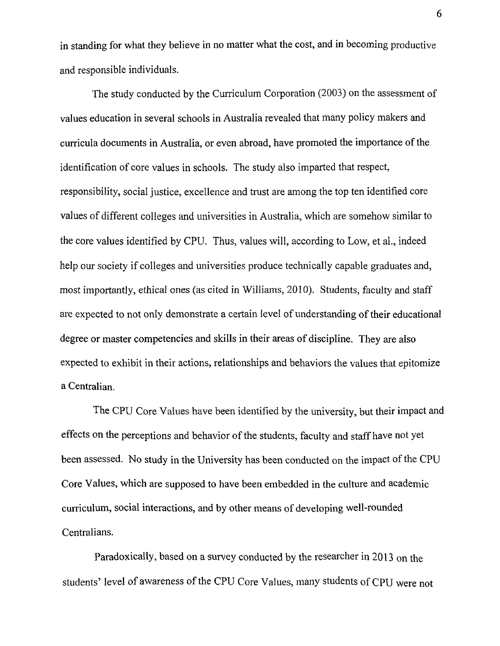in standing for what they believe in no matter what the cost, and in becoming productive and responsible individuals.

The study conducted by the Curriculum Corporation (2003) on the assessment of values education in several schools in Australia revealed that many policy makers and curricula documents in Australia, or even abroad, have promoted the importance of the identification of core values in schools. The study also imparted that respect, responsibility, social justice, excellence and trust are among the top ten identified core values of different colleges and universities in Australia, which are somehow similar to the core values identified by CPU. Thus, values will, according to Low, et al., indeed help our society if colleges and universities produce technically capable graduates and, most importantly, ethical ones (as cited in Williams, 2010). Students, faculty and staff are expected to not only demonstrate a certain level of understanding of their educational degree or master competencies and skills in their areas of discipline. They are also expected to exhibit in their actions, relationships and behaviors the values that epitomize a Centralian.

The CPU Core Values have been identified by the university, but their impact and effects on the perceptions and behavior of the students, faculty and staff have not yet been assessed. No study in the University has been conducted on the impact of the CPU Core Values, which are supposed to have been embedded in the culture and academic curriculum, social interactions, and by other means of developing well-rounded Centralians.

Paradoxically, based on a survey conducted by the researcher in 2013 on the students' level of awareness of the CPU Core Values, many students of CPU were not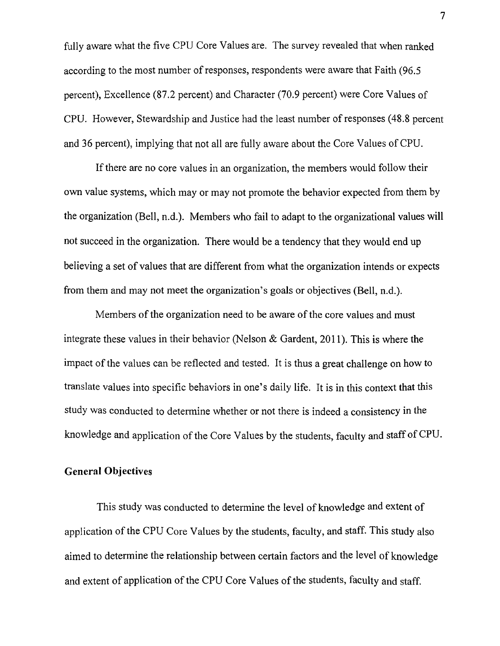fully aware what the five CPU Core Values are. The survey revealed that when ranked according to the most number of responses, respondents were aware that Faith (96.5 percent), Excellence (87.2 percent) and Character (70.9 percent) were Core Values of CPU. However, Stewardship and Justice had the least number of responses (48.8 percent and 36 percent), implying that not all are fully aware about the Core Values of CPU.

If there are no core values in an organization, the members would follow their own value systems, which may or may not promote the behavior expected from them by the organization (Bell, n.d.). Members who fail to adapt to the organizational values will not succeed in the organization. There would be a tendency that they would end up believing a set of values that are different from what the organization intends or expects from them and may not meet the organization's goals or objectives (Bell, n.d.).

Members of the organization need to be aware of the core values and must integrate these values in their behavior (Nelson  $\&$  Gardent, 2011). This is where the impact of the values can be reflected and tested. It is thus a great challenge on how to translate values into specific behaviors in one's daily life. It is in this context that this study was conducted to determine whether or not there is indeed a consistency in the knowledge and application of the Core Values by the students, faculty and staff of CPU.

## General Objectives

This study was conducted to determine the level of knowledge and extent of application of the CPU Core Values by the students, faculty, and staff. This study also aimed to determine the relationship between certain factors and the level of knowledge and extent of application of the CPU Core Values of the students, faculty and staff.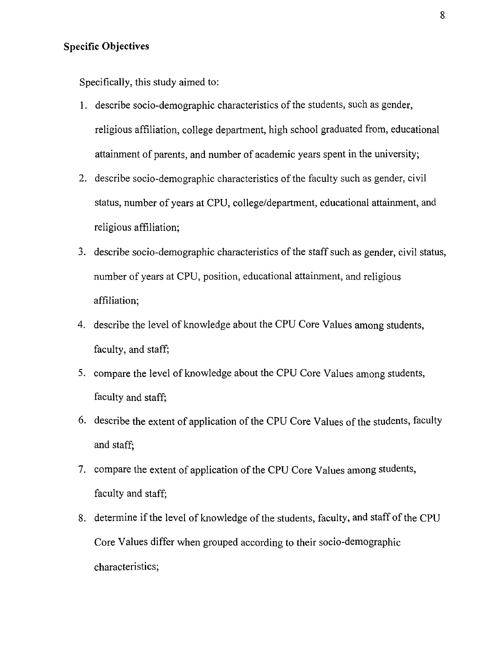## **Specific Objectives**

Specifically, this study aimed to:

- 1. describe socio-demographic characteristics of the students, such as gender, religious affiliation, college department, high school graduated from, educational attainment of parents, and number of academic years spent in the university;
- 2. describe socio-demographic characteristics of the faculty such as gender, civil status, number of years at CPU, college/department, educational attainment, and religious affiliation;
- 3. describe socio-demographic characteristics of the staff such as gender, civil status, number of years at CPU, position, educational attainment, and religious affiliation;
- 4. describe the level of knowledge about the CPU Core Values among students, faculty, and staff;
- 5. compare the level of knowledge about the CPU Core Values among students, faculty and staff;
- 6. describe the extent of application of the CPU Core Values of the students, faculty and staff;
- 7. compare the extent of application of the CPU Core Values among students, faculty and staff;
- 8. determine if the level of knowledge of the students, faculty, and staff of the CPU Core Values differ when grouped according to their socio-demographic characteristics;